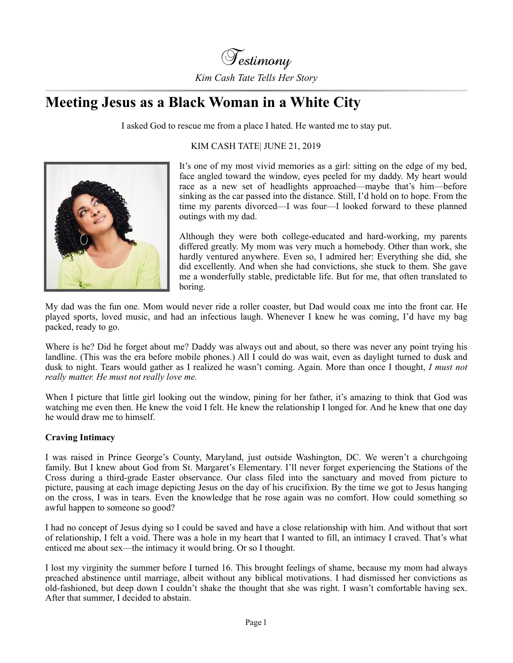

## **Meeting Jesus as a Black Woman in a White City**

I asked God to rescue me from a place I hated. He wanted me to stay put.



## KIM CASH TATE| JUNE 21, 2019

It's one of my most vivid memories as a girl: sitting on the edge of my bed, face angled toward the window, eyes peeled for my daddy. My heart would race as a new set of headlights approached—maybe that's him—before sinking as the car passed into the distance. Still, I'd hold on to hope. From the time my parents divorced—I was four—I looked forward to these planned outings with my dad.

Although they were both college-educated and hard-working, my parents differed greatly. My mom was very much a homebody. Other than work, she hardly ventured anywhere. Even so, I admired her: Everything she did, she did excellently. And when she had convictions, she stuck to them. She gave me a wonderfully stable, predictable life. But for me, that often translated to boring.

My dad was the fun one. Mom would never ride a roller coaster, but Dad would coax me into the front car. He played sports, loved music, and had an infectious laugh. Whenever I knew he was coming, I'd have my bag packed, ready to go.

Where is he? Did he forget about me? Daddy was always out and about, so there was never any point trying his landline. (This was the era before mobile phones.) All I could do was wait, even as daylight turned to dusk and dusk to night. Tears would gather as I realized he wasn't coming. Again. More than once I thought, *I must not really matter. He must not really love me.* 

When I picture that little girl looking out the window, pining for her father, it's amazing to think that God was watching me even then. He knew the void I felt. He knew the relationship I longed for. And he knew that one day he would draw me to himself.

## **Craving Intimacy**

I was raised in Prince George's County, Maryland, just outside Washington, DC. We weren't a churchgoing family. But I knew about God from St. Margaret's Elementary. I'll never forget experiencing the Stations of the Cross during a third-grade Easter observance. Our class filed into the sanctuary and moved from picture to picture, pausing at each image depicting Jesus on the day of his crucifixion. By the time we got to Jesus hanging on the cross, I was in tears. Even the knowledge that he rose again was no comfort. How could something so awful happen to someone so good?

I had no concept of Jesus dying so I could be saved and have a close relationship with him. And without that sort of relationship, I felt a void. There was a hole in my heart that I wanted to fill, an intimacy I craved. That's what enticed me about sex—the intimacy it would bring. Or so I thought.

I lost my virginity the summer before I turned 16. This brought feelings of shame, because my mom had always preached abstinence until marriage, albeit without any biblical motivations. I had dismissed her convictions as old-fashioned, but deep down I couldn't shake the thought that she was right. I wasn't comfortable having sex. After that summer, I decided to abstain.